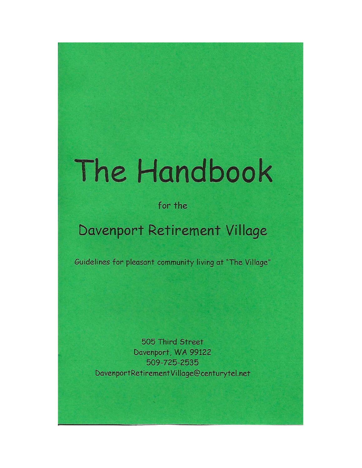# The Handbook

for the

# Davenport Retirement Village

Guidelines for pleasant community living at "The Village"

505 Third Street Davenport, WA 99122 509-725-2535 DavenportRetirementVillage@centurytel.net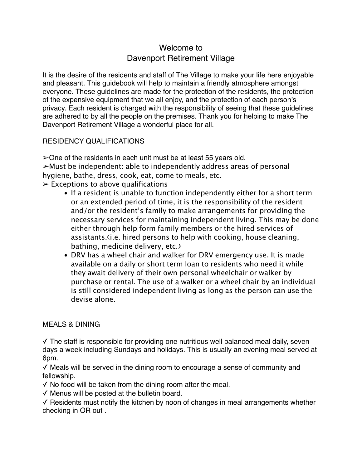# Welcome to Davenport Retirement Village

It is the desire of the residents and staff of The Village to make your life here enjoyable and pleasant. This guidebook will help to maintain a friendly atmosphere amongst everyone. These guidelines are made for the protection of the residents, the protection of the expensive equipment that we all enjoy, and the protection of each person's privacy. Each resident is charged with the responsibility of seeing that these guidelines are adhered to by all the people on the premises. Thank you for helping to make The Davenport Retirement Village a wonderful place for all.

# RESIDENCY QUALIFICATIONS

➢One of the residents in each unit must be at least 55 years old. ➢Must be independent: able to independently address areas of personal hygiene, bathe, dress, cook, eat, come to meals, etc.  $\triangleright$  Exceptions to above qualifications

- If a resident is unable to function independently either for a short term or an extended period of time, it is the responsibility of the resident and/or the resident's family to make arrangements for providing the necessary services for maintaining independent living. This may be done either through help form family members or the hired services of assistants. (i.e. hired persons to help with cooking, house cleaning, bathing, medicine delivery, etc.)
- DRV has a wheel chair and walker for DRV emergency use. It is made available on a daily or short term loan to residents who need it while they await delivery of their own personal wheelchair or walker by purchase or rental. The use of a walker or a wheel chair by an individual is still considered independent living as long as the person can use the devise alone.

# MEALS & DINING

✓ The staff is responsible for providing one nutritious well balanced meal daily, seven days a week including Sundays and holidays. This is usually an evening meal served at 6pm.

✓ Meals will be served in the dining room to encourage a sense of community and fellowship.

- ✓ No food will be taken from the dining room after the meal.
- ✓ Menus will be posted at the bulletin board.

✓ Residents must notify the kitchen by noon of changes in meal arrangements whether checking in OR out .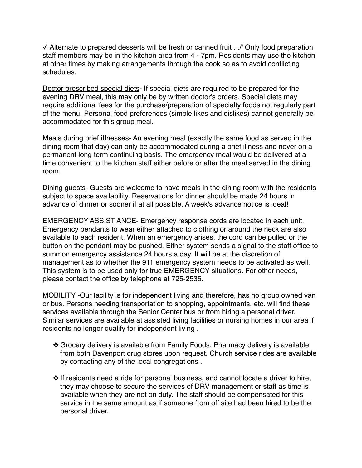✓ Alternate to prepared desserts will be fresh or canned fruit . ./' Only food preparation staff members may be in the kitchen area from 4 - 7pm. Residents may use the kitchen at other times by making arrangements through the cook so as to avoid conflicting schedules.

Doctor prescribed special diets- If special diets are required to be prepared for the evening DRV meal, this may only be by written doctor's orders. Special diets may require additional fees for the purchase/preparation of specialty foods not regularly part of the menu. Personal food preferences (simple likes and dislikes) cannot generally be accommodated for this group meal.

Meals during brief iIInesses- An evening meal (exactly the same food as served in the dining room that day) can only be accommodated during a brief illness and never on a permanent long term continuing basis. The emergency meal would be delivered at a time convenient to the kitchen staff either before or after the meal served in the dining room.

Dining quests- Guests are welcome to have meals in the dining room with the residents subject to space availability. Reservations for dinner should be made 24 hours in advance of dinner or sooner if at all possible. A week's advance notice is ideal!

EMERGENCY ASSIST ANCE- Emergency response cords are located in each unit. Emergency pendants to wear either attached to clothing or around the neck are also available to each resident. When an emergency arises, the cord can be pulled or the button on the pendant may be pushed. Either system sends a signal to the staff office to summon emergency assistance 24 hours a day. It will be at the discretion of management as to whether the 911 emergency system needs to be activated as well. This system is to be used only for true EMERGENCY situations. For other needs, please contact the office by telephone at 725-2535.

MOBILITY -Our facility is for independent living and therefore, has no group owned van or bus. Persons needing transportation to shopping, appointments, etc. will find these services available through the Senior Center bus or from hiring a personal driver. Similar services are available at assisted living facilities or nursing homes in our area if residents no longer qualify for independent living .

- ✤ Grocery delivery is available from Family Foods. Pharmacy delivery is available from both Davenport drug stores upon request. Church service rides are available by contacting any of the local congregations .
- ✤ If residents need a ride for personal business, and cannot locate a driver to hire, they may choose to secure the services of DRV management or staff as time is available when they are not on duty. The staff should be compensated for this service in the same amount as if someone from off site had been hired to be the personal driver.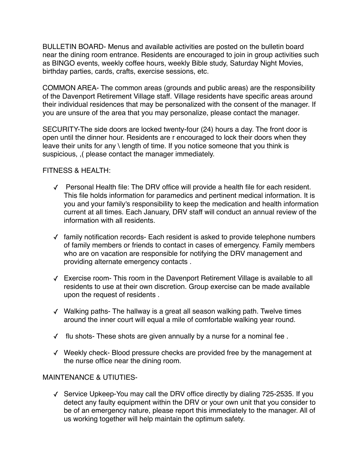BULLETIN BOARD- Menus and available activities are posted on the bulletin board near the dining room entrance. Residents are encouraged to join in group activities such as BINGO events, weekly coffee hours, weekly Bible study, Saturday Night Movies, birthday parties, cards, crafts, exercise sessions, etc.

COMMON AREA- The common areas (grounds and public areas) are the responsibility of the Davenport Retirement Village staff. Village residents have specific areas around their individual residences that may be personalized with the consent of the manager. If you are unsure of the area that you may personalize, please contact the manager.

SECURITY-The side doors are locked twenty-four (24) hours a day. The front door is open until the dinner hour. Residents are r encouraged to lock their doors when they leave their units for any \ length of time. If you notice someone that you think is suspicious, ,( please contact the manager immediately.

#### FITNESS & HEALTH:

- ✓ Personal Health file: The DRV office will provide a health file for each resident. This file holds information for paramedics and pertinent medical information. It is you and your family's responsibility to keep the medication and health information current at all times. Each January, DRV staff will conduct an annual review of the information with all residents.
- ✓ family notification records- Each resident is asked to provide telephone numbers of family members or friends to contact in cases of emergency. Family members who are on vacation are responsible for notifying the DRV management and providing alternate emergency contacts .
- ✓ Exercise room- This room in the Davenport Retirement Village is available to all residents to use at their own discretion. Group exercise can be made available upon the request of residents .
- ✓ Walking paths- The hallway is a great all season walking path. Twelve times around the inner court will equal a mile of comfortable walking year round.
- ✓ flu shots- These shots are given annually by a nurse for a nominal fee .
- ✓ Weekly check- Blood pressure checks are provided free by the management at the nurse office near the dining room.

#### MAINTENANCE & UTIUTIES-

✓ Service Upkeep-You may call the DRV office directly by dialing 725-2535. If you detect any faulty equipment within the DRV or your own unit that you consider to be of an emergency nature, please report this immediately to the manager. All of us working together will help maintain the optimum safety.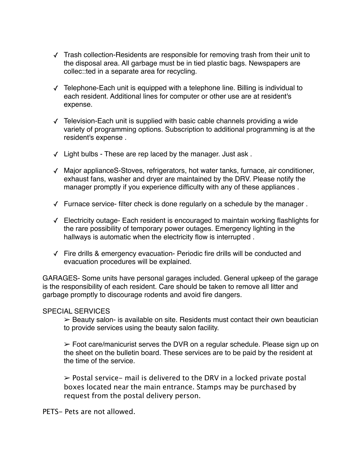- ✓ Trash collection-Residents are responsible for removing trash from their unit to the disposal area. All garbage must be in tied plastic bags. Newspapers are collec::ted in a separate area for recycling.
- ✓ Telephone-Each unit is equipped with a telephone line. Billing is individual to each resident. Additional lines for computer or other use are at resident's expense.
- ✓ Television-Each unit is supplied with basic cable channels providing a wide variety of programming options. Subscription to additional programming is at the resident's expense .
- ✓ Light bulbs These are rep laced by the manager. Just ask .
- ✓ Major applianceS-Stoves, refrigerators, hot water tanks, furnace, air conditioner, exhaust fans, washer and dryer are maintained by the DRV. Please notify the manager promptly if you experience difficulty with any of these appliances .
- ✓ Furnace service- filter check is done regularly on a schedule by the manager .
- ✓ Electricity outage- Each resident is encouraged to maintain working flashlights for the rare possibility of temporary power outages. Emergency lighting in the hallways is automatic when the electricity flow is interrupted .
- ✓ Fire drills & emergency evacuation- Periodic fire drills will be conducted and evacuation procedures will be explained.

GARAGES- Some units have personal garages included. General upkeep of the garage is the responsibility of each resident. Care should be taken to remove all litter and garbage promptly to discourage rodents and avoid fire dangers.

#### SPECIAL SERVICES

 $\geq$  Beauty salon- is available on site. Residents must contact their own beautician to provide services using the beauty salon facility.

 $\geq$  Foot care/manicurist serves the DVR on a regular schedule. Please sign up on the sheet on the bulletin board. These services are to be paid by the resident at the time of the service.

 $\geq$  Postal service- mail is delivered to the DRV in a locked private postal boxes located near the main entrance. Stamps may be purchased by request from the postal delivery person.

PETS- Pets are not allowed.